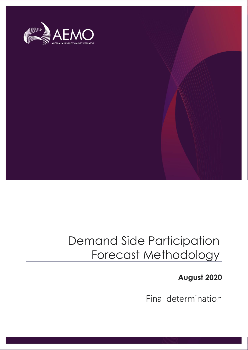

# Demand Side Participation Forecast Methodology

# **August 2020**

Final determination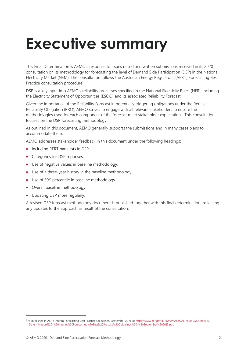# <span id="page-1-0"></span>**Executive summary**

This Final Determination is AEMO's response to issues raised and written submissions received in its 2020 consultation on its methodology for forecasting the level of Demand Side Participation (DSP) in the National Electricity Market (NEM). The consultation follows the Australian Energy Regulator's (AER's) Forecasting Best Practice consultation procedure<sup>1</sup>.

DSP is a key input into AEMO's reliability processes specified in the National Electricity Rules (NER), including the Electricity Statement of Opportunities (ESOO) and its associated Reliability Forecast.

Given the importance of the Reliability Forecast in potentially triggering obligations under the Retailer Reliability Obligation (RRO), AEMO strives to engage with all relevant stakeholders to ensure the methodologies used for each component of the forecast meet stakeholder expectations. This consultation focuses on the DSP forecasting methodology.

As outlined in this document, AEMO generally supports the submissions and in many cases plans to accommodate them.

AEMO addresses stakeholder feedback in this document under the following headings:

- Including RERT panellists in DSP.
- Categories for DSP reponses.
- Use of negative values in baseline methodology.
- Use of a three-year history in the baseline methodology.
- Use of 50<sup>th</sup> percentile in baseline methodology.
- Overall baseline methodology.
- Updating DSP more regularly.

A revised DSP forecast methodology document is published together with this final determination, reflecting any updates to the approach as result of the consultation.

<sup>1</sup> As published in AER's Interim Forecasting Best Practice Guidelines, September 2019, at [https://www.aer.gov.au/system/files/AER%20-%20Final%20](https://www.aer.gov.au/system/files/AER%20-%20Final%20Determination%20-%20Interim%20Forecasting%20Best%20Practice%20Guidelines%20-%20September%202019.pdf) [Determination%20-%20Interim%20Forecasting%20Best%20Practice%20Guidelines%20-%20September%202019.pdf.](https://www.aer.gov.au/system/files/AER%20-%20Final%20Determination%20-%20Interim%20Forecasting%20Best%20Practice%20Guidelines%20-%20September%202019.pdf)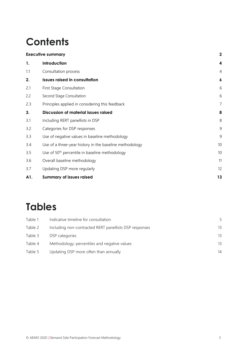# **Contents**

|     | <b>Executive summary</b>                                   | $\overline{\mathbf{2}}$ |
|-----|------------------------------------------------------------|-------------------------|
| 1.  | Introduction                                               | 4                       |
| 1.1 | Consultation process                                       | $\overline{4}$          |
| 2.  | <b>Issues raised in consultation</b>                       | $\boldsymbol{6}$        |
| 2.1 | First Stage Consultation                                   | 6                       |
| 2.2 | Second Stage Consultation                                  | 6                       |
| 2.3 | Principles applied in considering this feedback            | 7                       |
| 3.  | Discussion of material issues raised                       | 8                       |
| 3.1 | Including RERT panellists in DSP                           | 8                       |
| 3.2 | Categories for DSP responses                               | 9                       |
| 3.3 | Use of negative values in baseline methodology             | 9                       |
| 3.4 | Use of a three-year history in the baseline methodology    | 10                      |
| 3.5 | Use of 50 <sup>th</sup> percentile in baseline methodology | 10                      |
| 3.6 | Overall baseline methodology                               | 11                      |
| 3.7 | Updating DSP more regularly                                | 12                      |
| A1. | <b>Summary of issues raised</b>                            | 13                      |

# **Tables**

| Table 1 | Indicative timeline for consultation                   | 5  |
|---------|--------------------------------------------------------|----|
| Table 2 | Including non-contracted RERT panellists DSP responses | 13 |
| Table 3 | DSP categories                                         | 13 |
| Table 4 | Methodology: percentiles and negative values           | 13 |
| Table 5 | Updating DSP more often than annually                  | 14 |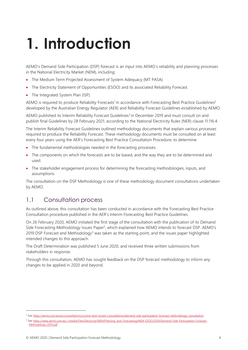# <span id="page-3-0"></span>**1. Introduction**

AEMO's Demand Side Participation (DSP) forecast is an input into AEMO's reliability and planning processes in the National Electricity Market (NEM), including:

- The Medium Term Projected Assessment of System Adequacy (MT PASA).
- The Electricity Statement of Opportunities (ESOO) and its associated Reliability Forecast.
- The Integrated System Plan (ISP).

AEMO is required to produce Reliability Forecasts<sup>1</sup> in accordance with Forecasting Best Practice Guidelines<sup>2</sup> developed by the Australian Energy Regulator (AER) and Reliability Forecast Guidelines established by AEMO.

AEMO published its Interim Reliability Forecast Guidelines<sup>3</sup> in December 2019 and must consult on and publish final Guidelines by 28 February 2021, according to the National Electricity Rules (NER) clause 11.116.4.

The Interim Reliability Forecast Guidelines outlined methodology documents that explain various processes required to produce the Reliability Forecast. These methodology documents must be consulted on at least every four years using the AER's Forecasting Best Practice Consultation Procedure, to determine:

- The fundamental methodologies needed in the forecasting processes.
- The components on which the forecasts are to be based, and the way they are to be determined and used.
- The stakeholder engagement process for determining the forecasting methodologies, inputs, and assumptions.

The consultation on the DSP Methodology is one of these methodology document consultations undertaken by AEMO.

## <span id="page-3-1"></span>1.1 Consultation process

As outlined above, this consultation has been conducted in accordance with the Forecasting Best Practice Consultation procedure published in the AER's Interim Forecasting Best Practice Guidelines.

<span id="page-3-2"></span>On 26 February 2020, AEMO initiated the first stage of the consultation with the publication of its Demand Side Forecasting Methodology Issues Paper<sup>2</sup>, which explained how AEMO intends to forecast DSP. AEMO's 2019 DSP Forecast and Methodology<sup>3</sup> was taken as the starting point, and the issues paper highlighted intended changes to this approach.

The Draft Determination was published 5 June 2020, and received three written submissions from stakeholders in response.

Through this consultation, AEMO has sought feedback on the DSP forecast methodology to inform any changes to be applied in 2020 and beyond.

<sup>2</sup> Se[e https://aemo.com.au/en/consultations/current-and-closed-consultations/demand-side-participation-forecast-methodology-consultation.](https://aemo.com.au/en/consultations/current-and-closed-consultations/demand-side-participation-forecast-methodology-consultation)

<sup>&</sup>lt;sup>3</sup> Se[e https://www.aemo.com.au/-/media/Files/Electricity/NEM/Planning\\_and\\_Forecasting/NEM\\_ESOO/2019/Demand-Side-Participation-Forecast-](https://www.aemo.com.au/-/media/Files/Electricity/NEM/Planning_and_Forecasting/NEM_ESOO/2019/Demand-Side-Participation-Forecast-Methodology-2019.pdf)[Methodology-2019.pdf.](https://www.aemo.com.au/-/media/Files/Electricity/NEM/Planning_and_Forecasting/NEM_ESOO/2019/Demand-Side-Participation-Forecast-Methodology-2019.pdf)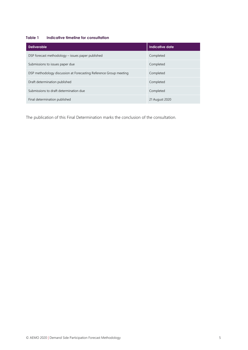#### <span id="page-4-0"></span>**Table 1 Indicative timeline for consultation**

| <b>Deliverable</b>                                                | Indicative date |
|-------------------------------------------------------------------|-----------------|
| DSP forecast methodology - issues paper published                 | Completed       |
| Submissions to issues paper due                                   | Completed       |
| DSP methodology discussion at Forecasting Reference Group meeting | Completed       |
| Draft determination published                                     | Completed       |
| Submissions to draft determination due                            | Completed       |
| Final determination published                                     | 21 August 2020  |

The publication of this Final Determination marks the conclusion of the consultation.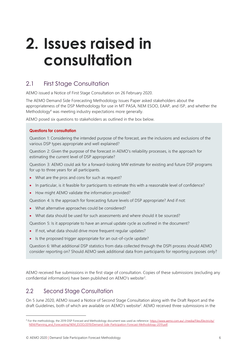# <span id="page-5-0"></span>**2. Issues raised in consultation**

# <span id="page-5-1"></span>2.1 First Stage Consultation

AEMO issued a Notice of First Stage Consultation on 26 February 2020.

The AEMO Demand Side Forecasting Methodology Issues Paper asked stakeholders about the appropriateness of the DSP Methodology for use in MT PASA, NEM ESOO, EAAP, and ISP, and whether the Methodology<sup>4</sup> was meeting industry expectations more generally.

AEMO posed six questions to stakeholders as outlined in the box below.

#### **Questions for consultation**

Question 1: Considering the intended purpose of the forecast, are the inclusions and exclusions of the various DSP types appropriate and well explained?

Question 2: Given the purpose of the forecast in AEMO's reliability processes, is the approach for estimating the current level of DSP appropriate?

Question 3: AEMO could ask for a forward-looking MW estimate for existing and future DSP programs for up to three years for all participants.

- What are the pros and cons for such as request?
- In particular, is it feasible for participants to estimate this with a reasonable level of confidence?
- How might AEMO validate the information provided?

Question 4: Is the approach for forecasting future levels of DSP appropriate? And if not:

- What alternative approaches could be considered?
- What data should be used for such assessments and where should it be sourced?

Question 5: Is it appropriate to have an annual update cycle as outlined in the document?

- If not, what data should drive more frequent regular updates?
- Is the proposed trigger appropriate for an out-of-cycle update?

Question 6: What additional DSP statistics from data collected through the DSPI process should AEMO consider reporting on? Should AEMO seek additional data from participants for reporting purposes only?

AEMO received five submissions in the first stage of consultation. Copies of these submissions (excluding any confid[e](#page-3-2)ntial information) have been published on AEMO's website<sup>2</sup>.

### <span id="page-5-2"></span>2.2 Second Stage Consultation

On 5 June 2020, AEMO issued a Notice of Second Stage Consultation along with the Draft Report and the draft Guidelines, both of which are available on AEMO's website [2](#page-3-2) . AEMO received three submissions in the

<sup>&</sup>lt;sup>4</sup> For the methodology, the 2019 DSP Forecast and Methodology document was used as reference: [https://www.aemo.com.au/-/media/Files/Electricity/](https://www.aemo.com.au/-/media/Files/Electricity/NEM/Planning_and_Forecasting/NEM_ESOO/2019/Demand-Side-Participation-Forecast-Methodology-2019.pdf) [NEM/Planning\\_and\\_Forecasting/NEM\\_ESOO/2019/Demand-Side-Participation-Forecast-Methodology-2019.pdf.](https://www.aemo.com.au/-/media/Files/Electricity/NEM/Planning_and_Forecasting/NEM_ESOO/2019/Demand-Side-Participation-Forecast-Methodology-2019.pdf)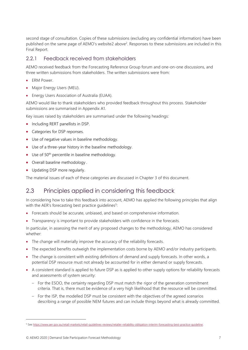second stage of consultation. Copies of these submissions (excluding any confidential information) have been published on the same page of AEMO's website[2 above](#page-3-2)<sup>2</sup>[.](#page-3-2) Responses to these submissions are included in this Final Report.

#### 2.2.1 Feedback received from stakeholders

AEMO received feedback from the Forecasting Reference Group forum and one-on-one discussions, and three written submissions from stakeholders. The written submissions were from:

- ERM Power.
- Major Energy Users (MEU).
- Energy Users Association of Australia (EUAA).

AEMO would like to thank stakeholders who provided feedback throughout this process. Stakeholder submissions are summarised in Appendix A1.

Key issues raised by stakeholders are summarised under the following headings:

- Including RERT panellists in DSP.
- Categories for DSP reponses.
- Use of negative values in baseline methodology.
- Use of a three-year history in the baseline methodology.
- Use of  $50<sup>th</sup>$  percentile in baseline methodology.
- Overall baseline methodology .
- Updating DSP more regularly.

The material issues of each of these categories are discussed in Chapter 3 of this document.

## <span id="page-6-0"></span>2.3 Principles applied in considering this feedback

In considering how to take this feedback into account, AEMO has applied the following principles that align with the AER's forecasting best practice guidelines<sup>5</sup>:

- Forecasts should be accurate, unbiased, and based on comprehensive information.
- Transparency is important to provide stakeholders with confidence in the forecasts.

In particular, in assessing the merit of any proposed changes to the methodology, AEMO has considered whether:

- The change will materially improve the accuracy of the reliability forecasts.
- The expected benefits outweigh the implementation costs borne by AEMO and/or industry participants.
- The change is consistent with existing definitions of demand and supply forecasts. In other words, a potential DSP resource must not already be accounted for in either demand or supply forecasts.
- A consistent standard is applied to future DSP as is applied to other supply options for reliability forecasts and assessments of system security:
	- For the ESOO, the certainty regarding DSP must match the rigor of the generation commitment criteria. That is, there must be evidence of a very high likelihood that the resource will be committed.
	- For the ISP, the modelled DSP must be consistent with the objectives of the agreed scenarios describing a range of possible NEM futures and can include things beyond what is already committed.

<sup>5</sup> Se[e https://www.aer.gov.au/retail-markets/retail-guidelines-reviews/retailer-reliability-obligation-interim-forecasting-best-practice-guideline.](https://www.aer.gov.au/retail-markets/retail-guidelines-reviews/retailer-reliability-obligation-interim-forecasting-best-practice-guideline)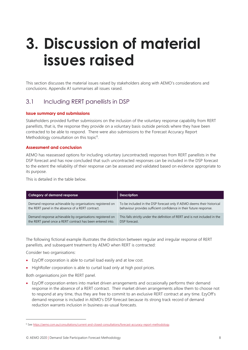# <span id="page-7-2"></span><span id="page-7-0"></span>**3. Discussion of material issues raised**

This section discusses the material issues raised by stakeholders along with AEMO's considerations and conclusions. Appendix A1 summarises all issues raised.

### <span id="page-7-1"></span>3.1 Including RERT panellists in DSP

#### **Issue summary and submissions**

Stakeholders provided further submissions on the inclusion of the voluntary response capability from RERT panellists, that is, the response they provide on a voluntary basis outside periods where they have been contracted to be able to respond. There were also submissions to the Forecast Accuracy Report Methodology consultation on this topic<sup>6</sup>.

#### **Assessment and conclusion**

AEMO has reassessed options for including voluntary (uncontracted) responses from RERT panellists in the DSP forecast and has now concluded that such uncontracted responses can be included in the DSP forecast to the extent the reliability of their response can be assessed and validated based on evidence appropriate to its purpose.

This is detailed in the table below.

| Category of demand response                                | <b>Description</b>                                                          |
|------------------------------------------------------------|-----------------------------------------------------------------------------|
| Demand response achievable by organisations registered on  | To be included in the DSP forecast only if AEMO deems their historical      |
| the RERT panel in the absence of a RERT contract.          | behaviour provides sufficient confidence in their future response.          |
| Demand response achievable by organisations registered on  | This falls strictly under the definition of RERT and is not included in the |
| the RERT panel once a RERT contract has been entered into. | DSP forecast.                                                               |

The following fictional example illustrates the distinction between regular and irregular response of RERT panellists, and subsequent treatment by AEMO when RERT is contracted:

Consider two organisations:

- EzyOff corporation is able to curtail load easily and at low cost.
- HighRoller corporation is able to curtail load only at high pool prices.

Both organisations join the RERT panel.

• EzyOff corporation enters into market driven arrangements and occasionally performs their demand response in the absence of a RERT contract. Their market driven arrangements allow them to choose not to respond at any time, thus they are free to commit to an exclusive RERT contract at any time. EzyOff's demand response is included in AEMO's DSP forecast because its strong track record of demand reduction warrants inclusion in business-as-usual forecasts.

<sup>6</sup> Se[e https://aemo.com.au/consultations/current-and-closed-consultations/forecast-accuracy-report-methodology.](https://aemo.com.au/consultations/current-and-closed-consultations/forecast-accuracy-report-methodology)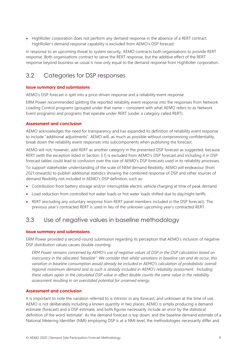<span id="page-8-2"></span>• HighRoller corporation does not perform any demand response in the absence of a RERT contract. HighRoller's demand response capability is excluded from AEMO's DSP forecast.

In response to an upcoming threat to system security, AEMO contracts both organisations to provide RERT response. Both organisations contract to serve the RERT response, but the additive effect of the RERT response beyond business-as-usual is now only equal to the demand response from HighRoller corporation.

# <span id="page-8-0"></span>3.2 Categories for DSP responses

#### **Issue summary and submissions**

AEMO's DSP forecast is split into a price-driven response and a reliability event response.

<span id="page-8-3"></span>ERM Power recommended splitting the reported reliability event response into the responses from Network Loading Control programs (grouped under that name – consistent with what AEMO refers to as Network Event programs) and programs that operate under RERT (under a category called RERT).

#### **Assessment and conclusion**

AEMO acknowledges the need for transparency and has expanded its definition of reliability event response to include "additional adjustments". AEMO will, as much as possible without compromising confidentiality, break down the reliability event responses into subcomponents when publishing the forecast.

AEMO will not, however, add RERT as another category in the presented DSP forecast as suggested, because RERT (with the exception listed in Section [3.1\)](#page-7-1) is excluded from AEMO's DSP forecast and including it in DSP forecast tables could lead to confusion over the size of AEMO's DSP forecasts used in its reliability processes.

To support stakeholder understanding of the scale of NEM demand flexibility, AEMO will endeavour (from 2021 onwards) to publish additional statistics showing the combined response of DSP and other sources of demand flexibility not included in AEMO's DSP definition, such as:

- Contribution from battery storage and/or interruptible electric vehicle charging at time of peak demand.
- Load reduction from controlled hot water loads or hot water loads shifted due to day/night tariffs.
- RERT (excluding any voluntary response from RERT panel members included in the DSP forecast). The previous year's contracted RERT is used in lieu of the unknown upcoming year's contracted RERT.

## <span id="page-8-1"></span>3.3 Use of negative values in baseline methodology

#### **Issue summary and submissions**

ERM Power provided a second-round submission regarding its perception that AEMO's inclusion of negative DSP distribution values causes double counting:

*ERM Power remains concerned by AEMO's use of negative values of DSP in the DSP calculation based on inaccuracy in the allocated "baseline". We consider that whilst variations in baseline can and do occur, this variation in baseline consumption would already be included in AEMO's calculation of probabilistic overall regional maximum demand and as such is already included in AEMO's reliability assessment. Including these values again in the calculated DSP value in effect double counts the same value in the reliability assessment resulting in an overstated potential for unserved energy.*

#### **Assessment and conclusion**

It is important to note the variation referred to is intrinsic in any forecast, and unknown at the time of use. AEMO is not deliberately including a known quantity in two places; AEMO is simply producing a demand estimate (forecast) and a DSP estimate, and both figures necessarily include an error by the statistical definition of the word 'estimate'. As the demand forecast is top down, and the baseline demand estimate of a National Metering Identifier (NMI) employing DSP is at a NMI level, the methodologies necessarily differ and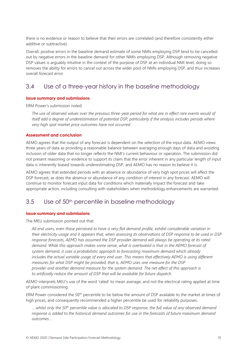<span id="page-9-2"></span>there is no evidence or reason to believe that their errors are correlated (and therefore consistently either additive or subtractive).

Overall, positive errors in the baseline demand estimate of some NMIs employing DSP tend to be cancelled out by negative errors in the baseline demand for other NMIs employing DSP. Although removing negative DSP values is arguably intuitive in the context of the purpose of DSP at an individual NMI level, doing so removes the ability for errors to cancel out across the wider pool of NMIs employing DSP, and thus increases overall forecast error.

### <span id="page-9-0"></span>3.4 Use of a three-year history in the baseline methodology

#### <span id="page-9-3"></span>**Issue summary and submissions**

ERM Power's submission noted:

*The use of observed values over the previous three-year period for what are in effect rare events would of itself add a degree of underestimation of potential DSP, particularly if the analysis includes periods where very high spot market price outcomes have not occurred.*

#### **Assessment and conclusion**

AEMO agrees that the output of any forecast is dependent on the selection of the input data. AEMO views three years of data as providing a reasonable balance between averaging enough days of data and avoiding inclusion of older data that no longer reflects the NMI's current behaviour or operation. The submission did not present reasoning or evidence to support its claim that the error inherent in any particular length of input data is inherently biased towards underestimating DSP, and AEMO has no reason to believe it is.

AEMO agrees that extended periods with an absence or abundance of very high spot prices will affect the DSP forecast, as does the absence or abundance of any condition of interest in any forecast. AEMO will continue to monitor forecast input data for conditions which materially impact the forecast and take appropriate action, including consulting with stakeholders when methodology enhancements are warranted.

### <span id="page-9-1"></span>3.5 Use of 50<sup>th</sup> percentile in baseline methodology

#### **Issue summary and submissions**

The MEU submission pointed out that:

*All end users, even those perceived to have a very flat demand profile, exhibit considerable variation in their electricity usage and it appears that, when assessing its observations of DSP response to be used in DSP response forecasts, AEMO has assumed the DSP provider demand will always be operating at its rated demand. While this approach makes some sense, what is overlooked is that in the AEMO forecast of system demand, it uses a probabilistic approach to forecasting maximum demand which already includes the actual variable usage of every end user. This means that effectively AEMO is using different measures for what DSP might be provided; that is, AEMO uses one measure for the DSP provider and another demand measure for the system demand. The net effect of this approach is to artificially reduce the amount of DSP that will be available for future dispatch.*

AEMO interprets MEU's use of the word 'rated' to mean average, and not the electrical rating applied at time of plant commissioning.

ERM Power considered the 50<sup>th</sup> percentile to be below the amount of DSP available to the market at times of high prices, and consequently recommended a higher percentile be used for reliability purposes.

*… whilst only the 50th percentile value is allocated to DSP response, the full value of any observed demand response is added to the historical demand outcomes for use in the forecasts of future maximum demand outcomes…*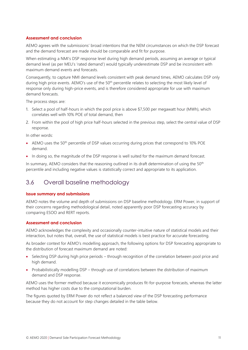#### **Assessment and conclusion**

AEMO agrees with the submissions' broad intentions that the NEM circumstances on which the DSP forecast and the demand forecast are made should be comparable and fit for purpose.

When estimating a NMI's DSP response level during high demand periods, assuming an average or typical demand level (as per MEU's 'rated demand') would typically underestimate DSP and be inconsistent with maximum demand events and forecasts.

Consequently, to capture NMI demand levels consistent with peak demand times, AEMO calculates DSP only during high price events. AEMO's use of the 50<sup>th</sup> percentile relates to selecting the most likely level of response only during high-price events, and is therefore considered appropriate for use with maximum demand forecasts.

The process steps are:

- 1. Select a pool of half-hours in which the pool price is above \$7,500 per megawatt hour (MWh), which correlates well with 10% POE of total demand, then
- 2. From within the pool of high price half-hours selected in the previous step, select the central value of DSP response.

In other words:

- AEMO uses the 50<sup>th</sup> percentile of DSP values occurring during prices that correspond to 10% POE demand.
- In doing so, the magnitude of the DSP response is well suited for the maximum demand forecast.

In summary, AEMO considers that the reasoning outlined in its draft determination of using the 50<sup>th</sup> percentile and including negative values is statistically correct and appropriate to its application.

### <span id="page-10-0"></span>3.6 Overall baseline methodology

#### **Issue summary and submissions**

AEMO notes the volume and depth of submissions on DSP baseline methodology. ERM Power, in support of their concerns regarding methodological detail, noted apparently poor DSP forecasting accuracy by comparing ESOO and RERT reports.

#### **Assessment and conclusion**

AEMO acknowledges the complexity and occasionally counter-intuitive nature of statistical models and their interaction, but notes that, overall, the use of statistical models is best practice for accurate forecasting.

As broader context for AEMO's modelling approach, the following options for DSP forecasting appropriate to the distribution of forecast maximum demand are noted:

- Selecting DSP during high price periods through recognition of the correlation between pool price and high demand.
- Probabilistically modelling DSP through use of correlations between the distribution of maximum demand and DSP response.

AEMO uses the former method because it economically produces fit-for-purpose forecasts, whereas the latter method has higher costs due to the computational burden.

The figures quoted by ERM Power do not reflect a balanced view of the DSP forecasting performance because they do not account for step changes detailed in the table below.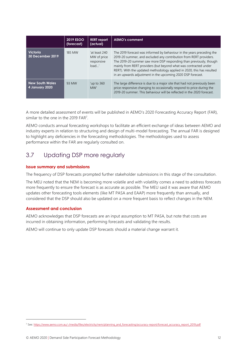<span id="page-11-1"></span>

|                                            | <b>2019 ESOO</b><br>(forecast) | <b>RERT</b> report<br>(actual)                      | <b>AEMO's comment</b>                                                                                                                                                                                                                                                                                                                                                                                                           |
|--------------------------------------------|--------------------------------|-----------------------------------------------------|---------------------------------------------------------------------------------------------------------------------------------------------------------------------------------------------------------------------------------------------------------------------------------------------------------------------------------------------------------------------------------------------------------------------------------|
| <b>Victoria</b><br><b>30 December 2019</b> | 185 MW                         | 'at least 240<br>MW of price<br>responsive<br>load' | The 2019 forecast was informed by behaviour in the years preceding the<br>2019-20 summer, and excluded any contribution from RERT providers.<br>The 2019-20 summer saw more DSP responding than previously, though<br>mainly from RERT providers (but beyond what was contracted under<br>RERT). With the updated methodology applied in 2020, this has resulted<br>in an upwards adjustment in the upcoming 2020 DSP forecast. |
| <b>New South Wales</b><br>4 January 2020   | 93 MW                          | $^{\prime}$ up to 360<br>MW'                        | The large difference is due to a major site that had not previously been<br>price responsive changing to occasionally respond to price during the<br>2019-20 summer. This behaviour will be reflected in the 2020 forecast.                                                                                                                                                                                                     |

A more detailed assessment of events will be published in AEMO's 2020 Forecasting Accuracy Report (FAR), similar to the one in the 2019 FAR<sup>7</sup>.

AEMO conducts annual forecasting workshops to facilitate an efficient exchange of ideas between AEMO and industry experts in relation to structuring and design of multi-model forecasting. The annual FAR is designed to highlight any deficiencies in the forecasting methodologies. The methodologies used to assess performance within the FAR are regularly consulted on.

# <span id="page-11-0"></span>3.7 Updating DSP more regularly

#### **Issue summary and submissions**

The frequency of DSP forecasts prompted further stakeholder submissions in this stage of the consultation.

The MEU noted that the NEM is becoming more volatile and with volatility comes a need to address forecasts more frequently to ensure the forecast is as accurate as possible. The MEU said it was aware that AEMO updates other forecasting tools elements (like MT PASA and EAAP) more frequently than annually, and considered that the DSP should also be updated on a more frequent basis to reflect changes in the NEM.

#### **Assessment and conclusion**

AEMO acknowledges that DSP forecasts are an input assumption to MT PASA, but note that costs are incurred in obtaining information, performing forecasts and validating the results.

AEMO will continue to only update DSP forecasts should a material change warrant it.

<sup>7</sup> See: [https://www.aemo.com.au/-/media/files/electricity/nem/planning\\_and\\_forecasting/accuracy-report/forecast\\_accuracy\\_report\\_2019.pdf](https://www.aemo.com.au/-/media/files/electricity/nem/planning_and_forecasting/accuracy-report/forecast_accuracy_report_2019.pdf)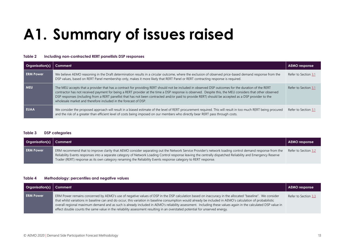# **A1. Summary of issues raised**

#### **Table 2 Including non-contracted RERT panellists DSP responses**

| Organisation(s)  | Comment                                                                                                                                                                                                                                                                                                                                                                                                                                                                                                                                     | AEMO response        |
|------------------|---------------------------------------------------------------------------------------------------------------------------------------------------------------------------------------------------------------------------------------------------------------------------------------------------------------------------------------------------------------------------------------------------------------------------------------------------------------------------------------------------------------------------------------------|----------------------|
| <b>ERM Power</b> | We believe AEMO reasoning in the Draft determination results in a circular outcome, where the exclusion of observed price-based demand response from the<br>DSP values, based on RERT Panel membership only, makes it more likely that RERT Panel or RERT contracting response is required.                                                                                                                                                                                                                                                 | Refer to Section 3.1 |
| <b>MEU</b>       | The MEU accepts that a provider that has a contract for providing RERT should not be included in observed DSP outcomes for the duration of the RERT<br>contractor has not received payment for being a RERT provider at the time a DSP response is observed. Despite this, the MEU considers that other observed<br>DSP responses (including from a RERT panellist that has not been contracted and/or paid to provide RERT) should be accepted as a DSP provider to the<br>wholesale market and therefore included in the forecast of DSP. | Refer to Section 3.1 |
| <b>EUAA</b>      | We consider the proposed approach will result in a biased estimate of the level of RERT procurement required. This will result in too much RERT being procured<br>and the risk of a greater than efficient level of costs being imposed on our members who directly bear RERT pass through costs.                                                                                                                                                                                                                                           | Refer to Section 3.1 |

#### <span id="page-12-0"></span>**Table 3 DSP categories**

| <b>Organisation(s)</b> Comment |                                                                                                                                                                                                                                                                                                                                                                                                                                           | <b>AEMO</b> response |
|--------------------------------|-------------------------------------------------------------------------------------------------------------------------------------------------------------------------------------------------------------------------------------------------------------------------------------------------------------------------------------------------------------------------------------------------------------------------------------------|----------------------|
| <b>ERM Power</b>               | ERM recommend that to improve clarity that AEMO consider separating out the Network Service Provider's network loading control demand response from the<br>Reliability Events responses into a separate category of Network Loading Control response leaving the centrally dispatched Reliability and Emergency Reserve<br>Trader (RERT) response as its own category renaming the Reliability Events response category to RERT response. | Refer to Section 3.2 |

#### <span id="page-12-1"></span>**Table 4 Methodology: percentiles and negative values**

<span id="page-12-3"></span><span id="page-12-2"></span>

| <b>Organisation(s)</b> Comment |                                                                                                                                                                                                                                                                                                                                                                                                                                                                                                                                                                                                                         | <b>AEMO response</b> |
|--------------------------------|-------------------------------------------------------------------------------------------------------------------------------------------------------------------------------------------------------------------------------------------------------------------------------------------------------------------------------------------------------------------------------------------------------------------------------------------------------------------------------------------------------------------------------------------------------------------------------------------------------------------------|----------------------|
| <b>ERM Power</b>               | ERM Power remains concerned by AEMO's use of negative values of DSP in the DSP calculation based on inaccuracy in the allocated "baseline". We consider<br>that whilst variations in baseline can and do occur, this variation in baseline consumption would already be included in AEMO's calculation of probabilistic<br>overall regional maximum demand and as such is already included in AEMO's reliability assessment. Including these values again in the calculated DSP value in<br>effect double counts the same value in the reliability assessment resulting in an overstated potential for unserved energy. | Refer to Section 3.3 |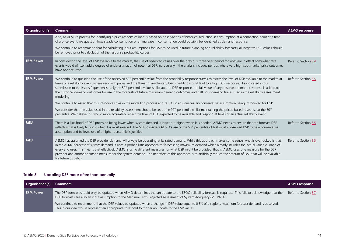| Organisation(s)  | Comment                                                                                                                                                                                                                                                                                                                                                                                                                                                                                                                                                                                                                                                                                         | <b>AEMO</b> response |
|------------------|-------------------------------------------------------------------------------------------------------------------------------------------------------------------------------------------------------------------------------------------------------------------------------------------------------------------------------------------------------------------------------------------------------------------------------------------------------------------------------------------------------------------------------------------------------------------------------------------------------------------------------------------------------------------------------------------------|----------------------|
|                  | Also, as AEMO's process for identifying a price responsive load is based on observations of historical reduction in consumption at a connection point at a time<br>of a price event, we question how steady consumption or an increase in consumption could possibly be identified as demand response.                                                                                                                                                                                                                                                                                                                                                                                          |                      |
|                  | We continue to recommend that for calculating input assumptions for DSP to be used in future planning and reliability forecasts, all negative DSP values should<br>be removed prior to calculation of the response probability curves.                                                                                                                                                                                                                                                                                                                                                                                                                                                          |                      |
| <b>ERM Power</b> | In considering the level of DSP available to the market, the use of observed values over the previous three-year period for what are in effect somewhat rare<br>events would of itself add a degree of underestimation of potential DSP, particularly if the analysis includes periods where very high spot market price outcomes<br>have not occurred.                                                                                                                                                                                                                                                                                                                                         | Refer to Section 3.4 |
| <b>ERM Power</b> | We continue to question the use of the observed 50 <sup>th</sup> percentile value from the probability response curves to assess the level of DSP available to the market at<br>times of a reliability event, where very high prices and the threat of involuntary load shedding would lead to a high DSP response. As indicated in our<br>submission to the Issues Paper, whilst only the 50 <sup>th</sup> percentile value is allocated to DSP response, the full value of any observed demand response is added to<br>the historical demand outcomes for use in the forecasts of future maximum demand outcomes and half hour demand traces used in the reliability assessment<br>modelling. | Refer to Section 3.5 |
|                  | We continue to assert that this introduces bias in the modelling process and results in an unnecessary conservative assumption being introduced for DSP.                                                                                                                                                                                                                                                                                                                                                                                                                                                                                                                                        |                      |
|                  | We consider that the value used in the reliability assessment should be set at the 90 <sup>th</sup> percentile whilst maintaining the priced based response at the 50 <sup>th</sup><br>percentile. We believe this would more accurately reflect the level of DSP expected to be available and respond at times of an actual reliability event.                                                                                                                                                                                                                                                                                                                                                 |                      |
| <b>MEU</b>       | There is a likelihood of DSP provision being lower when system demand is lower but higher when it is needed. AEMO needs to ensure that the forecast DSP<br>reflects what is likely to occur when it is most needed. The MEU considers AEMO's use of the 50 <sup>th</sup> percentile of historically observed DSP to be a conservative<br>assumption and believes use of a higher percentile is justified.                                                                                                                                                                                                                                                                                       | Refer to Section 3.5 |
| <b>MEU</b>       | AEMO has assumed the DSP provider demand will always be operating at its rated demand. While this approach makes some sense, what is overlooked is that<br>in the AEMO forecast of system demand, it uses a probabilistic approach to forecasting maximum demand which already includes the actual variable usage of<br>every end user. This means that effectively AEMO is using different measures for what DSP might be provided; that is, AEMO uses one measure for the DSP<br>provider and another demand measure for the system demand. The net effect of this approach is to artificially reduce the amount of DSP that will be available<br>for future dispatch.                        | Refer to Section 3.5 |

#### **Table 5 Updating DSP more often than annually**

<span id="page-13-0"></span>

| <b>Organisation(s)</b> Comment |                                                                                                                                                                                                                                                                                  | <b>AEMO</b> response |
|--------------------------------|----------------------------------------------------------------------------------------------------------------------------------------------------------------------------------------------------------------------------------------------------------------------------------|----------------------|
| <b>ERM Power</b>               | The DSP forecast should only be updated when AEMO determines that an update to the ESOO reliability forecast is required. This fails to acknowledge that the<br>DSP forecasts are also an input assumption to the Medium-Term Projected Assessment of System Adequacy (MT PASA). | Refer to Section 3.7 |
|                                | We continue to recommend that the DSP values be updated when a change in DSP value equal to 0.5% of a regions maximum forecast demand is observed.<br>This in our view would represent an appropriate threshold to trigger an update to the DSP values.                          |                      |